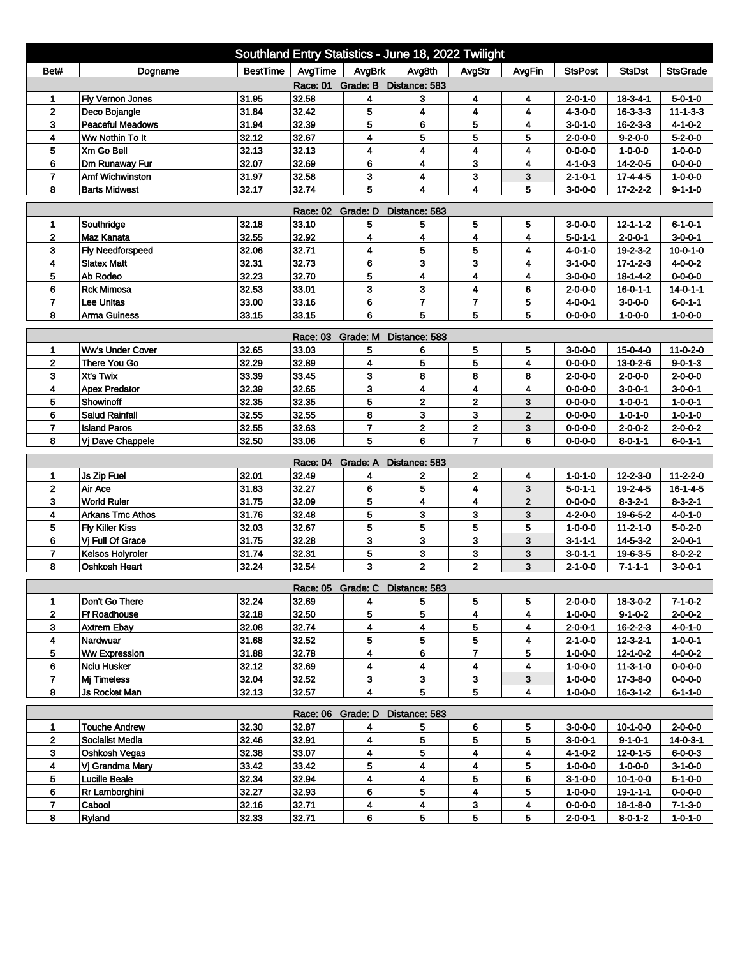| Southland Entry Statistics - June 18, 2022 Twilight |                                          |                |                |                                 |                         |                         |              |                 |                  |                                    |
|-----------------------------------------------------|------------------------------------------|----------------|----------------|---------------------------------|-------------------------|-------------------------|--------------|-----------------|------------------|------------------------------------|
| Bet#                                                | Dogname                                  | BestTime       | AvgTime        | AvgBrk                          | Avg8th                  | AvgStr                  | AvgFin       | <b>StsPost</b>  | <b>StsDst</b>    | <b>StsGrade</b>                    |
| Race: 01 Grade: B Distance: 583                     |                                          |                |                |                                 |                         |                         |              |                 |                  |                                    |
| 1                                                   | Fly Vernon Jones                         | 31.95          | 32.58          | 4                               | 3                       | 4                       | 4            | $2 - 0 - 1 - 0$ | $18 - 3 - 4 - 1$ | $5 - 0 - 1 - 0$                    |
| $\mathbf{2}$                                        | Deco Bojangle                            | 31.84          | 32.42          | 5                               | 4                       | 4                       | 4            | $4 - 3 - 0 - 0$ | $16 - 3 - 3 - 3$ | $11 - 1 - 3 - 3$                   |
| 3                                                   | <b>Peaceful Meadows</b>                  | 31.94          | 32.39          | 5                               | 6                       | 5                       | 4            | $3 - 0 - 1 - 0$ | $16 - 2 - 3 - 3$ | $4 - 1 - 0 - 2$                    |
| 4                                                   | Ww Nothin To It                          | 32.12          | 32.67          | 4                               | 5                       | 5                       | 5            | $2 - 0 - 0 - 0$ | $9 - 2 - 0 - 0$  | $5 - 2 - 0 - 0$                    |
| 5                                                   | Xm Go Bell                               | 32.13          | 32.13          | 4                               | $\overline{\mathbf{4}}$ | $\overline{\mathbf{4}}$ | 4            | $0 - 0 - 0 - 0$ | $1 - 0 - 0 - 0$  | $1 - 0 - 0 - 0$                    |
| 6                                                   | Dm Runaway Fur                           | 32.07          | 32.69          | 6                               | 4                       | 3                       | 4            | $4 - 1 - 0 - 3$ | $14 - 2 - 0 - 5$ | $0 - 0 - 0 - 0$                    |
| $\overline{7}$                                      | Amf Wichwinston                          | 31.97          | 32.58          | 3                               | 4                       | 3                       | 3            | $2 - 1 - 0 - 1$ | $17 - 4 - 4 - 5$ | $1 - 0 - 0 - 0$                    |
| 8                                                   | <b>Barts Midwest</b>                     | 32.17          | 32.74          | 5                               | 4                       | $\overline{\mathbf{4}}$ | 5            | $3 - 0 - 0 - 0$ | $17 - 2 - 2 - 2$ | $9 - 1 - 1 - 0$                    |
| <b>Race: 02</b><br>Grade: D<br>Distance: 583        |                                          |                |                |                                 |                         |                         |              |                 |                  |                                    |
| 1                                                   | Southridge                               | 32.18          | 33.10          | 5                               | 5                       | 5                       | 5            | $3-0-0-0$       | $12 - 1 - 1 - 2$ | $6 - 1 - 0 - 1$                    |
| $\mathbf{2}$                                        | <b>Maz Kanata</b>                        | 32.55          | 32.92          | 4                               | $\overline{\mathbf{4}}$ | 4                       | 4            | $5 - 0 - 1 - 1$ | $2 - 0 - 0 - 1$  | $3 - 0 - 0 - 1$                    |
| 3                                                   | <b>Fly Needforspeed</b>                  | 32.06          | 32.71          | 4                               | 5                       | 5                       | 4            | 4-0-1-0         | 19-2-3-2         | $10 - 0 - 1 - 0$                   |
| 4                                                   | <b>Slatex Matt</b>                       | 32.31          | 32.73          | 6                               | 3                       | 3                       | 4            | $3 - 1 - 0 - 0$ | $17 - 1 - 2 - 3$ | $4 - 0 - 0 - 2$                    |
| 5                                                   | Ab Rodeo                                 | 32.23          | 32.70          | 5                               | 4                       | 4                       | 4            | $3 - 0 - 0 - 0$ | $18 - 1 - 4 - 2$ | $0 - 0 - 0 - 0$                    |
| 6                                                   | <b>Rck Mimosa</b>                        | 32.53          | 33.01          | 3                               | 3                       | 4                       | 6            | $2 - 0 - 0 - 0$ | $16 - 0 - 1 - 1$ | $14 - 0 - 1 - 1$                   |
| $\overline{7}$                                      | <b>Lee Unitas</b>                        | 33.00          | 33.16          | 6                               | $\overline{7}$          | $\overline{7}$          | 5            | $4 - 0 - 0 - 1$ | $3 - 0 - 0 - 0$  | $6 - 0 - 1 - 1$                    |
| 8                                                   | <b>Arma Guiness</b>                      | 33.15          | 33.15          | 6                               | 5                       | 5                       | 5            | $0 - 0 - 0 - 0$ | $1 - 0 - 0 - 0$  | $1 - 0 - 0 - 0$                    |
| Race: 03 Grade: M<br>Distance: 583                  |                                          |                |                |                                 |                         |                         |              |                 |                  |                                    |
| 1                                                   | <b>Ww's Under Cover</b>                  | 32.65          | 33.03          | 5                               | 6                       | 5                       | 5            | $3 - 0 - 0 - 0$ | 15-0-4-0         | $11 - 0 - 2 - 0$                   |
| $\mathbf 2$                                         | There You Go                             | 32.29          | 32.89          | 4                               | 5                       | 5                       | 4            | $0 - 0 - 0 - 0$ | 13-0-2-6         | $9 - 0 - 1 - 3$                    |
| 3                                                   | Xt's Twix                                | 33.39          | 33.45          | 3                               | 8                       | 8                       | 8            | $2 - 0 - 0 - 0$ | $2 - 0 - 0 - 0$  | $2 - 0 - 0 - 0$                    |
| 4                                                   | <b>Apex Predator</b>                     | 32.39          | 32.65          | 3                               | 4                       | $\overline{\mathbf{4}}$ | 4            | $0 - 0 - 0 - 0$ | $3 - 0 - 0 - 1$  | $3 - 0 - 0 - 1$                    |
| 5                                                   | Showinoff                                | 32.35          | 32.35          | 5                               | $\mathbf{2}$            | $\mathbf{2}$            | 3            | $0 - 0 - 0 - 0$ | $1 - 0 - 0 - 1$  | $1 - 0 - 0 - 1$                    |
| 6                                                   | <b>Salud Rainfall</b>                    | 32.55          | 32.55          | 8                               | 3                       | 3                       | $\mathbf{2}$ | $0 - 0 - 0 - 0$ | $1 - 0 - 1 - 0$  | $1 - 0 - 1 - 0$                    |
| 7                                                   | <b>Island Paros</b>                      | 32.55          | 32.63          | $\overline{7}$                  | $\mathbf 2$             | $\mathbf 2$             | 3            | $0 - 0 - 0 - 0$ | $2 - 0 - 0 - 2$  | $2 - 0 - 0 - 2$                    |
| 8                                                   | Vi Dave Chappele                         | 32.50          | 33.06          | 5                               | 6                       | $\overline{7}$          | 6            | $0 - 0 - 0 - 0$ | $8 - 0 - 1 - 1$  | $6 - 0 - 1 - 1$                    |
|                                                     |                                          |                |                |                                 |                         |                         |              |                 |                  |                                    |
|                                                     |                                          |                | Race: 04       | Grade: A                        | Distance: 583           |                         |              |                 |                  |                                    |
| 1                                                   | Js Zip Fuel                              | 32.01          | 32.49          | 4                               | 2                       | $\mathbf 2$             | 4            | $1 - 0 - 1 - 0$ | $12 - 2 - 3 - 0$ | $11 - 2 - 2 - 0$                   |
| $\mathbf 2$                                         | Air Ace                                  | 31.83          | 32.27          | 6                               | 5                       | $\overline{\mathbf{4}}$ | 3            | $5 - 0 - 1 - 1$ | 19-2-4-5         | $16 - 1 - 4 - 5$                   |
| 3                                                   | <b>World Ruler</b>                       | 31.75          | 32.09          | 5                               | 4                       | 4                       | $\mathbf 2$  | $0 - 0 - 0 - 0$ | $8 - 3 - 2 - 1$  | $8 - 3 - 2 - 1$                    |
| 4                                                   | <b>Arkans Tmc Athos</b>                  | 31.76          | 32.48          | 5<br>5                          | 3<br>5                  | 3<br>5                  | 3            | $4 - 2 - 0 - 0$ | 19-6-5-2         | $4 - 0 - 1 - 0$                    |
| 5                                                   | <b>Fly Killer Kiss</b>                   | 32.03          | 32.67          | 3                               | 3                       | 3                       | 5<br>3       | $1 - 0 - 0 - 0$ | $11 - 2 - 1 - 0$ | $5 - 0 - 2 - 0$                    |
| 6                                                   | Vi Full Of Grace                         | 31.75          | 32.28          |                                 |                         |                         |              | $3 - 1 - 1 - 1$ | $14 - 5 - 3 - 2$ | $2 - 0 - 0 - 1$                    |
| $\overline{7}$<br>8                                 | <b>Kelsos Holyroler</b><br>Oshkosh Heart | 31.74<br>32.24 | 32.31<br>32.54 | 5<br>3                          | 3<br>$\mathbf 2$        | 3<br>$\mathbf 2$        | 3<br>3       | $3 - 0 - 1 - 1$ | 19-6-3-5         | $8 - 0 - 2 - 2$<br>$3 - 0 - 0 - 1$ |
|                                                     |                                          |                |                |                                 |                         |                         |              | $2 - 1 - 0 - 0$ | $7 - 1 - 1 - 1$  |                                    |
|                                                     |                                          |                |                | Race: 05 Grade: C Distance: 583 |                         |                         |              |                 |                  |                                    |
|                                                     | Don't Go There                           | 32.24          | 32.69          | 4                               | 5                       | 5                       | 5            | $2 - 0 - 0 - 0$ | 18-3-0-2         | 7-1-0-2                            |
| $\mathbf{2}$                                        | <b>Ff Roadhouse</b>                      | 32.18          | 32.50          | 5                               | 5                       | 4                       | 4            | $1 - 0 - 0 - 0$ | $9 - 1 - 0 - 2$  | $2 - 0 - 0 - 2$                    |
| 3                                                   | <b>Axtrem Ebay</b>                       | 32.08          | 32.74          | 4                               | 4                       | 5                       | 4            | $2 - 0 - 0 - 1$ | $16 - 2 - 2 - 3$ | 4-0-1-0                            |
| 4                                                   | Nardwuar                                 | 31.68          | 32.52          | 5                               | 5                       | 5                       | 4            | $2 - 1 - 0 - 0$ | $12 - 3 - 2 - 1$ | $1 - 0 - 0 - 1$                    |
| 5                                                   | <b>Ww Expression</b>                     | 31.88          | 32.78          | 4                               | 6                       | $\mathbf{7}$            | 5            | $1 - 0 - 0 - 0$ | $12 - 1 - 0 - 2$ | 4-0-0-2                            |
| 6                                                   | Nciu Husker                              | 32.12          | 32.69          | 4                               | 4                       | 4                       | 4            | $1 - 0 - 0 - 0$ | 11-3-1-0         | $0 - 0 - 0 - 0$                    |
| $\overline{7}$                                      | Mj Timeless                              | 32.04          | 32.52          | 3                               | 3                       | $\mathbf{3}$            | 3            | $1 - 0 - 0 - 0$ | 17-3-8-0         | $0 - 0 - 0 - 0$                    |
| 8                                                   | Js Rocket Man                            | 32.13          | 32.57          | 4                               | 5                       | 5                       | 4            | $1 - 0 - 0 - 0$ | $16 - 3 - 1 - 2$ | $6 - 1 - 1 - 0$                    |
| Race: 06 Grade: D<br>Distance: 583                  |                                          |                |                |                                 |                         |                         |              |                 |                  |                                    |
| 1                                                   | <b>Touche Andrew</b>                     | 32.30          | 32.87          | 4                               | 5                       | 6                       | 5            | $3 - 0 - 0 - 0$ | $10-1-0-0$       | $2 - 0 - 0 - 0$                    |
| $\mathbf{2}$                                        | <b>Socialist Media</b>                   | 32.46          | 32.91          | 4                               | 5                       | 5                       | 5            | $3 - 0 - 0 - 1$ | $9 - 1 - 0 - 1$  | $14 - 0 - 3 - 1$                   |
| 3                                                   | Oshkosh Vegas                            | 32.38          | 33.07          | 4                               | 5                       | 4                       | 4            | $4 - 1 - 0 - 2$ | 12-0-1-5         | $6 - 0 - 0 - 3$                    |
| 4                                                   | Vj Grandma Mary                          | 33.42          | 33.42          | 5                               | 4                       | 4                       | 5            | $1 - 0 - 0 - 0$ | $1 - 0 - 0 - 0$  | $3 - 1 - 0 - 0$                    |
| 5                                                   | <b>Lucille Beale</b>                     | 32.34          | 32.94          | 4                               | 4                       | 5                       | 6            | $3-1-0-0$       | 10-1-0-0         | $5-1-0-0$                          |
| 6                                                   | Rr Lamborghini                           | 32.27          | 32.93          | 6                               | 5                       | 4                       | 5            | $1 - 0 - 0 - 0$ | $19 - 1 - 1 - 1$ | $0 - 0 - 0 - 0$                    |
| 7                                                   | Cabool                                   | 32.16          | 32.71          | 4                               | 4                       | 3                       | 4            | $0 - 0 - 0 - 0$ | 18-1-8-0         | $7 - 1 - 3 - 0$                    |
| 8                                                   | Ryland                                   | 32.33          | 32.71          | 6                               | 5                       | 5                       | 5            | $2 - 0 - 0 - 1$ | $8 - 0 - 1 - 2$  | $1 - 0 - 1 - 0$                    |
|                                                     |                                          |                |                |                                 |                         |                         |              |                 |                  |                                    |